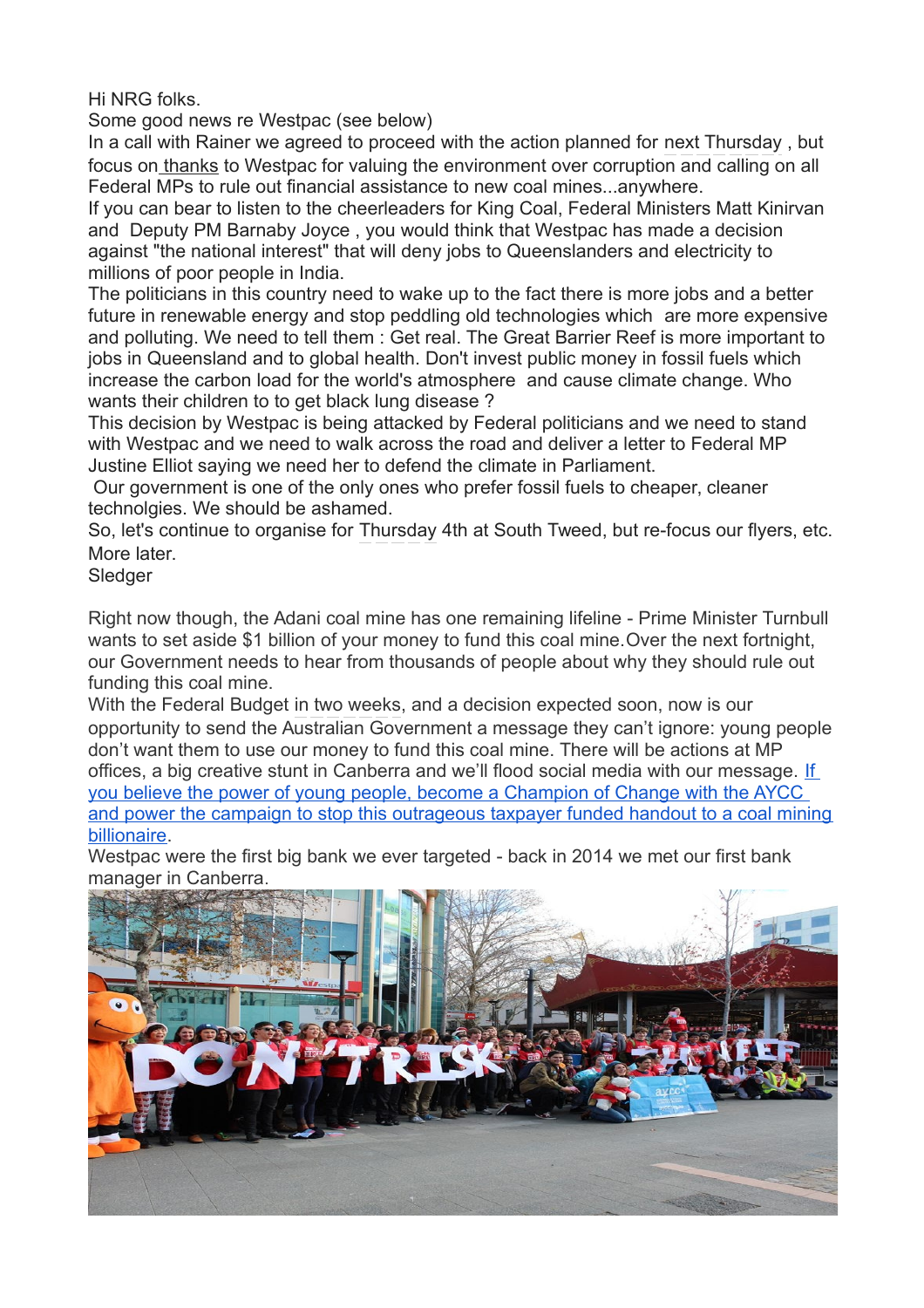Hi NRG folks.

Some good news re Westpac (see below)

In a call with Rainer we agreed to proceed with the action planned for next Thursday , but focus on thanks to Westpac for valuing the environment over corruption and calling on all Federal MPs to rule out financial assistance to new coal mines...anywhere.

If you can bear to listen to the cheerleaders for King Coal, Federal Ministers Matt Kinirvan and Deputy PM Barnaby Joyce , you would think that Westpac has made a decision against "the national interest" that will deny jobs to Queenslanders and electricity to millions of poor people in India.

The politicians in this country need to wake up to the fact there is more jobs and a better future in renewable energy and stop peddling old technologies which are more expensive and polluting. We need to tell them : Get real. The Great Barrier Reef is more important to jobs in Queensland and to global health. Don't invest public money in fossil fuels which increase the carbon load for the world's atmosphere and cause climate change. Who wants their children to to get black lung disease ?

This decision by Westpac is being attacked by Federal politicians and we need to stand with Westpac and we need to walk across the road and deliver a letter to Federal MP Justine Elliot saying we need her to defend the climate in Parliament.

Our government is one of the only ones who prefer fossil fuels to cheaper, cleaner technolgies. We should be ashamed.

So, let's continue to organise for Thursday 4th at South Tweed, but re-focus our flyers, etc. More later.

**Sledger** 

Right now though, the Adani coal mine has one remaining lifeline - Prime Minister Turnbull wants to set aside \$1 billion of your money to fund this coal mine.Over the next fortnight, our Government needs to hear from thousands of people about why they should rule out funding this coal mine.

With the Federal Budget in two weeks, and a decision expected soon, now is our opportunity to send the Australian Government a message they can't ignore: young people don't want them to use our money to fund this coal mine. There will be actions at MP offices, a big creative stunt in Canberra and we'll flood social media with our message. [If](https://aycc.nationbuilder.com/westpac_won_monthly?e=748a6b4b22a62d0eb40d85363debb1e9&utm_source=aycc&utm_medium=email&utm_campaign=westpac_won_mth&n=2)  you believe the power of young people, become a Champion of Change with the AYCC [and power the campaign to stop this outrageous taxpayer funded handout to a coal mining](https://aycc.nationbuilder.com/westpac_won_monthly?e=748a6b4b22a62d0eb40d85363debb1e9&utm_source=aycc&utm_medium=email&utm_campaign=westpac_won_mth&n=2) [billionaire.](https://aycc.nationbuilder.com/westpac_won_monthly?e=748a6b4b22a62d0eb40d85363debb1e9&utm_source=aycc&utm_medium=email&utm_campaign=westpac_won_mth&n=2)

Westpac were the first big bank we ever targeted - back in 2014 we met our first bank manager in Canberra.